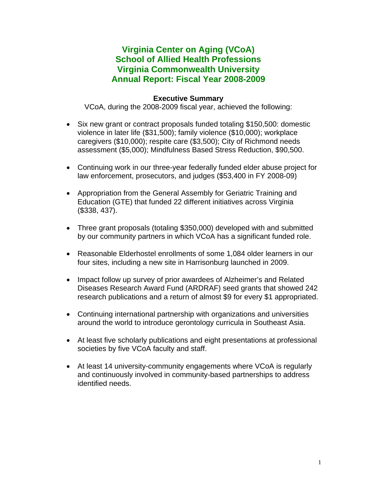# **Virginia Center on Aging (VCoA) School of Allied Health Professions Virginia Commonwealth University Annual Report: Fiscal Year 2008-2009**

### **Executive Summary**

VCoA, during the 2008-2009 fiscal year, achieved the following:

- Six new grant or contract proposals funded totaling \$150,500: domestic violence in later life (\$31,500); family violence (\$10,000); workplace caregivers (\$10,000); respite care (\$3,500); City of Richmond needs assessment (\$5,000); Mindfulness Based Stress Reduction, \$90,500.
- Continuing work in our three-year federally funded elder abuse project for law enforcement, prosecutors, and judges (\$53,400 in FY 2008-09)
- Appropriation from the General Assembly for Geriatric Training and Education (GTE) that funded 22 different initiatives across Virginia (\$338, 437).
- Three grant proposals (totaling \$350,000) developed with and submitted by our community partners in which VCoA has a significant funded role.
- Reasonable Elderhostel enrollments of some 1,084 older learners in our four sites, including a new site in Harrisonburg launched in 2009.
- Impact follow up survey of prior awardees of Alzheimer's and Related Diseases Research Award Fund (ARDRAF) seed grants that showed 242 research publications and a return of almost \$9 for every \$1 appropriated.
- Continuing international partnership with organizations and universities around the world to introduce gerontology curricula in Southeast Asia.
- At least five scholarly publications and eight presentations at professional societies by five VCoA faculty and staff.
- At least 14 university-community engagements where VCoA is regularly and continuously involved in community-based partnerships to address identified needs.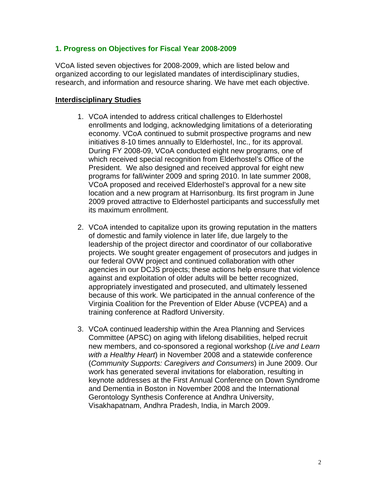#### **1. Progress on Objectives for Fiscal Year 2008-2009**

VCoA listed seven objectives for 2008-2009, which are listed below and organized according to our legislated mandates of interdisciplinary studies, research, and information and resource sharing. We have met each objective.

#### **Interdisciplinary Studies**

- 1. VCoA intended to address critical challenges to Elderhostel enrollments and lodging, acknowledging limitations of a deteriorating economy. VCoA continued to submit prospective programs and new initiatives 8-10 times annually to Elderhostel, Inc., for its approval. During FY 2008-09, VCoA conducted eight new programs, one of which received special recognition from Elderhostel's Office of the President. We also designed and received approval for eight new programs for fall/winter 2009 and spring 2010. In late summer 2008, VCoA proposed and received Elderhostel's approval for a new site location and a new program at Harrisonburg. Its first program in June 2009 proved attractive to Elderhostel participants and successfully met its maximum enrollment.
- 2. VCoA intended to capitalize upon its growing reputation in the matters of domestic and family violence in later life, due largely to the leadership of the project director and coordinator of our collaborative projects. We sought greater engagement of prosecutors and judges in our federal OVW project and continued collaboration with other agencies in our DCJS projects; these actions help ensure that violence against and exploitation of older adults will be better recognized, appropriately investigated and prosecuted, and ultimately lessened because of this work. We participated in the annual conference of the Virginia Coalition for the Prevention of Elder Abuse (VCPEA) and a training conference at Radford University.
- 3. VCoA continued leadership within the Area Planning and Services Committee (APSC) on aging with lifelong disabilities, helped recruit new members, and co-sponsored a regional workshop (*Live and Learn with a Healthy Heart*) in November 2008 and a statewide conference (*Community Supports: Caregivers and Consumers*) in June 2009. Our work has generated several invitations for elaboration, resulting in keynote addresses at the First Annual Conference on Down Syndrome and Dementia in Boston in November 2008 and the International Gerontology Synthesis Conference at Andhra University, Visakhapatnam, Andhra Pradesh, India, in March 2009.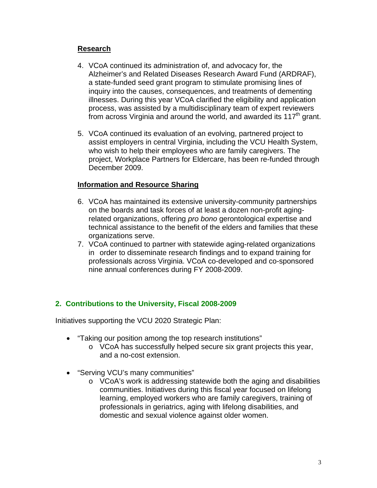### **Research**

- 4. VCoA continued its administration of, and advocacy for, the Alzheimer's and Related Diseases Research Award Fund (ARDRAF), a state-funded seed grant program to stimulate promising lines of inquiry into the causes, consequences, and treatments of dementing illnesses. During this year VCoA clarified the eligibility and application process, was assisted by a multidisciplinary team of expert reviewers from across Virginia and around the world, and awarded its  $117<sup>th</sup>$  grant.
- 5. VCoA continued its evaluation of an evolving, partnered project to assist employers in central Virginia, including the VCU Health System, who wish to help their employees who are family caregivers. The project, Workplace Partners for Eldercare, has been re-funded through December 2009.

### **Information and Resource Sharing**

- 6. VCoA has maintained its extensive university-community partnerships on the boards and task forces of at least a dozen non-profit agingrelated organizations, offering *pro bono* gerontological expertise and technical assistance to the benefit of the elders and families that these organizations serve.
- 7. VCoA continued to partner with statewide aging-related organizations in order to disseminate research findings and to expand training for professionals across Virginia. VCoA co-developed and co-sponsored nine annual conferences during FY 2008-2009.

### **2. Contributions to the University, Fiscal 2008-2009**

Initiatives supporting the VCU 2020 Strategic Plan:

- "Taking our position among the top research institutions"
	- o VCoA has successfully helped secure six grant projects this year, and a no-cost extension.
- "Serving VCU's many communities"
	- o VCoA's work is addressing statewide both the aging and disabilities communities. Initiatives during this fiscal year focused on lifelong learning, employed workers who are family caregivers, training of professionals in geriatrics, aging with lifelong disabilities, and domestic and sexual violence against older women.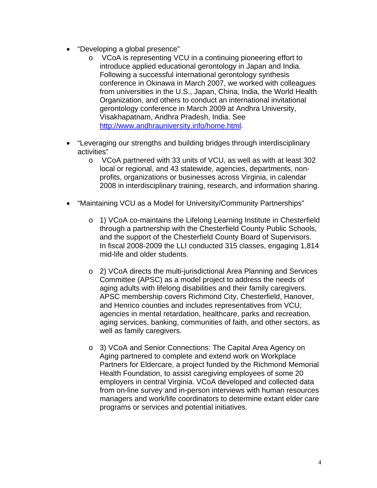- "Developing a global presence"
	- o VCoA is representing VCU in a continuing pioneering effort to introduce applied educational gerontology in Japan and India. Following a successful international gerontology synthesis conference in Okinawa in March 2007, we worked with colleagues from universities in the U.S., Japan, China, India, the World Health Organization, and others to conduct an international invitational gerontology conference in March 2009 at Andhra University, Visakhapatnam, Andhra Pradesh, India. See [http://www.andhrauniversity.info/home.html.](http://www.andhrauniversity.info/home.html)
- "Leveraging our strengths and building bridges through interdisciplinary activities"
	- o VCoA partnered with 33 units of VCU, as well as with at least 302 local or regional, and 43 statewide, agencies, departments, nonprofits, organizations or businesses across Virginia, in calendar 2008 in interdisciplinary training, research, and information sharing.
- "Maintaining VCU as a Model for University/Community Partnerships"
	- o 1) VCoA co-maintains the Lifelong Learning Institute in Chesterfield through a partnership with the Chesterfield County Public Schools, and the support of the Chesterfield County Board of Supervisors. In fiscal 2008-2009 the LLI conducted 315 classes, engaging 1,814 mid-life and older students.
	- o 2) VCoA directs the multi-jurisdictional Area Planning and Services Committee (APSC) as a model project to address the needs of aging adults with lifelong disabilities and their family caregivers. APSC membership covers Richmond City, Chesterfield, Hanover, and Henrico counties and includes representatives from VCU, agencies in mental retardation, healthcare, parks and recreation, aging services, banking, communities of faith, and other sectors, as well as family caregivers.
	- o 3) VCoA and Senior Connections: The Capital Area Agency on Aging partnered to complete and extend work on Workplace Partners for Eldercare, a project funded by the Richmond Memorial Health Foundation, to assist caregiving employees of some 20 employers in central Virginia. VCoA developed and collected data from on-line survey and in-person interviews with human resources managers and work/life coordinators to determine extant elder care programs or services and potential initiatives.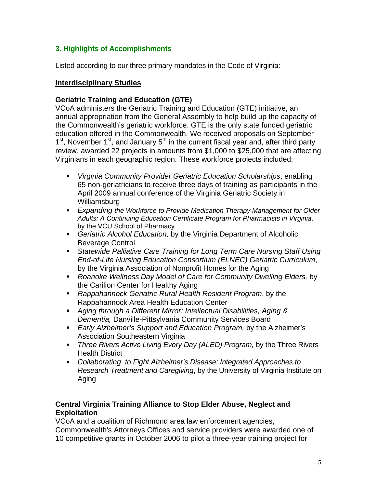# **3. Highlights of Accomplishments**

Listed according to our three primary mandates in the Code of Virginia:

#### **Interdisciplinary Studies**

### **Geriatric Training and Education (GTE)**

VCoA administers the Geriatric Training and Education (GTE) initiative, an annual appropriation from the General Assembly to help build up the capacity of the Commonwealth's geriatric workforce. GTE is the only state funded geriatric education offered in the Commonwealth. We received proposals on September  $1<sup>st</sup>$ , November  $1<sup>st</sup>$ , and January  $5<sup>th</sup>$  in the current fiscal year and, after third party review, awarded 22 projects in amounts from \$1,000 to \$25,000 that are affecting Virginians in each geographic region. These workforce projects included:

- *Virginia Community Provider Geriatric Education Scholarships*, enabling 65 non-geriatricians to receive three days of training as participants in the April 2009 annual conference of the Virginia Geriatric Society in Williamsburg
- *Expanding the Workforce to Provide Medication Therapy Management for Older Adults: A Continuing Education Certificate Program for Pharmacists in Virginia,*  by the VCU School of Pharmacy
- *Geriatric Alcohol Education,* by the Virginia Department of Alcoholic Beverage Control
- **Statewide Palliative Care Training for Long Term Care Nursing Staff Using** *End-of-Life Nursing Education Consortium (ELNEC) Geriatric Curriculum*, by the Virginia Association of Nonprofit Homes for the Aging
- *Roanoke Wellness Day Model of Care for Community Dwelling Elders,* by the Carilion Center for Healthy Aging
- *Rappahannock Geriatric Rural Health Resident Program*, by the Rappahannock Area Health Education Center
- *Aging through a Different Mirror: Intellectual Disabilities, Aging & Dementia,* Danville-Pittsylvania Community Services Board
- *Early Alzheimer's Support and Education Program,* by the Alzheimer's Association Southeastern Virginia
- *Three Rivers Active Living Every Day (ALED) Program,* by the Three Rivers Health District
- *Collaborating to Fight Alzheimer's Disease: Integrated Approaches to Research Treatment and Caregiving*, by the University of Virginia Institute on Aging

#### **Central Virginia Training Alliance to Stop Elder Abuse, Neglect and Exploitation**

VCoA and a coalition of Richmond area law enforcement agencies, Commonwealth's Attorneys Offices and service providers were awarded one of 10 competitive grants in October 2006 to pilot a three-year training project for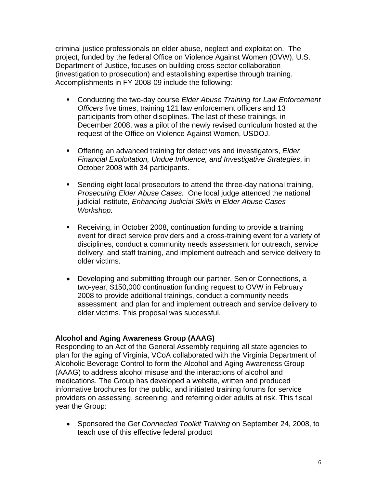criminal justice professionals on elder abuse, neglect and exploitation. The project, funded by the federal Office on Violence Against Women (OVW), U.S. Department of Justice, focuses on building cross-sector collaboration (investigation to prosecution) and establishing expertise through training. Accomplishments in FY 2008-09 include the following:

- Conducting the two-day course *Elder Abuse Training for Law Enforcement Officers* five times, training 121 law enforcement officers and 13 participants from other disciplines. The last of these trainings, in December 2008, was a pilot of the newly revised curriculum hosted at the request of the Office on Violence Against Women, USDOJ.
- Offering an advanced training for detectives and investigators, *Elder Financial Exploitation, Undue Influence, and Investigative Strategies*, in October 2008 with 34 participants.
- **Sending eight local prosecutors to attend the three-day national training,** *Prosecuting Elder Abuse Cases.* One local judge attended the national judicial institute, *Enhancing Judicial Skills in Elder Abuse Cases Workshop.*
- Receiving, in October 2008, continuation funding to provide a training event for direct service providers and a cross-training event for a variety of disciplines, conduct a community needs assessment for outreach, service delivery, and staff training, and implement outreach and service delivery to older victims.
- Developing and submitting through our partner, Senior Connections, a two-year, \$150,000 continuation funding request to OVW in February 2008 to provide additional trainings, conduct a community needs assessment, and plan for and implement outreach and service delivery to older victims. This proposal was successful.

#### **Alcohol and Aging Awareness Group (AAAG)**

Responding to an Act of the General Assembly requiring all state agencies to plan for the aging of Virginia, VCoA collaborated with the Virginia Department of Alcoholic Beverage Control to form the Alcohol and Aging Awareness Group (AAAG) to address alcohol misuse and the interactions of alcohol and medications. The Group has developed a website, written and produced informative brochures for the public, and initiated training forums for service providers on assessing, screening, and referring older adults at risk. This fiscal year the Group:

• Sponsored the *Get Connected Toolkit Training* on September 24, 2008, to teach use of this effective federal product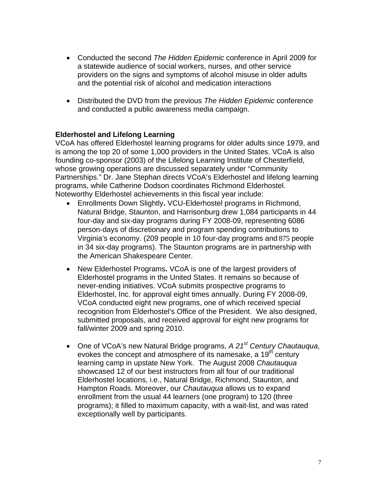- Conducted the second *The Hidden Epidemic* conferenc*e* in April 2009 for a statewide audience of social workers, nurses, and other service providers on the signs and symptoms of alcohol misuse in older adults and the potential risk of alcohol and medication interactions
- Distributed the DVD from the previous *The Hidden Epidemic* conference and conducted a public awareness media campaign.

# **Elderhostel and Lifelong Learning**

VCoA has offered Elderhostel learning programs for older adults since 1979, and is among the top 20 of some 1,000 providers in the United States. VCoA is also founding co-sponsor (2003) of the Lifelong Learning Institute of Chesterfield, whose growing operations are discussed separately under "Community Partnerships." Dr. Jane Stephan directs VCoA's Elderhostel and lifelong learning programs, while Catherine Dodson coordinates Richmond Elderhostel. Noteworthy Elderhostel achievements in this fiscal year include:

- Enrollments Down Slightly**.** VCU-Elderhostel programs in Richmond, Natural Bridge, Staunton, and Harrisonburg drew 1,084 participants in 44 four-day and six-day programs during FY 2008-09, representing 6086 person-days of discretionary and program spending contributions to Virginia's economy. (209 people in 10 four-day programs and 875 people in 34 six-day programs). The Staunton programs are in partnership with the American Shakespeare Center.
- New Elderhostel Programs**.** VCoA is one of the largest providers of Elderhostel programs in the United States. It remains so because of never-ending initiatives. VCoA submits prospective programs to Elderhostel, Inc. for approval eight times annually. During FY 2008-09, VCoA conducted eight new programs, one of which received special recognition from Elderhostel's Office of the President. We also designed, submitted proposals, and received approval for eight new programs for fall/winter 2009 and spring 2010.
- One of VCoA's new Natural Bridge programs, *A 21st Century Chautauqua*, evokes the concept and atmosphere of its namesake, a 19<sup>th</sup> century learning camp in upstate New York. The August 2008 *Chautauqua*  showcased 12 of our best instructors from all four of our traditional Elderhostel locations, i.e., Natural Bridge, Richmond, Staunton, and Hampton Roads. Moreover, our *Chautauqua* allows us to expand enrollment from the usual 44 learners (one program) to 120 (three programs); it filled to maximum capacity, with a wait-list, and was rated exceptionally well by participants.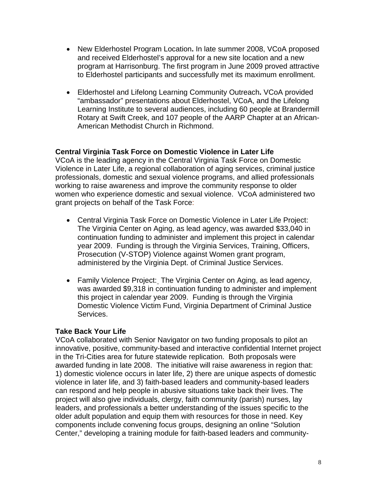- New Elderhostel Program Location**.** In late summer 2008, VCoA proposed and received Elderhostel's approval for a new site location and a new program at Harrisonburg. The first program in June 2009 proved attractive to Elderhostel participants and successfully met its maximum enrollment.
- Elderhostel and Lifelong Learning Community Outreach**.** VCoA provided "ambassador" presentations about Elderhostel, VCoA, and the Lifelong Learning Institute to several audiences, including 60 people at Brandermill Rotary at Swift Creek, and 107 people of the AARP Chapter at an African-American Methodist Church in Richmond.

#### **Central Virginia Task Force on Domestic Violence in Later Life**

VCoA is the leading agency in the Central Virginia Task Force on Domestic Violence in Later Life, a regional collaboration of aging services, criminal justice professionals, domestic and sexual violence programs, and allied professionals working to raise awareness and improve the community response to older women who experience domestic and sexual violence. VCoA administered two grant projects on behalf of the Task Force:

- Central Virginia Task Force on Domestic Violence in Later Life Project: The Virginia Center on Aging, as lead agency, was awarded \$33,040 in continuation funding to administer and implement this project in calendar year 2009. Funding is through the Virginia Services, Training, Officers, Prosecution (V-STOP) Violence against Women grant program, administered by the Virginia Dept. of Criminal Justice Services.
- Family Violence Project: The Virginia Center on Aging, as lead agency, was awarded \$9,318 in continuation funding to administer and implement this project in calendar year 2009. Funding is through the Virginia Domestic Violence Victim Fund, Virginia Department of Criminal Justice Services.

#### **Take Back Your Life**

VCoA collaborated with Senior Navigator on two funding proposals to pilot an innovative, positive, community-based and interactive confidential Internet project in the Tri-Cities area for future statewide replication. Both proposals were awarded funding in late 2008. The initiative will raise awareness in region that: 1) domestic violence occurs in later life, 2) there are unique aspects of domestic violence in later life, and 3) faith-based leaders and community-based leaders can respond and help people in abusive situations take back their lives. The project will also give individuals, clergy, faith community (parish) nurses, lay leaders, and professionals a better understanding of the issues specific to the older adult population and equip them with resources for those in need. Key components include convening focus groups, designing an online "Solution Center," developing a training module for faith-based leaders and community-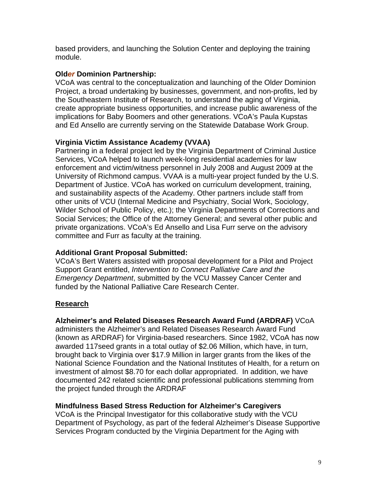based providers, and launching the Solution Center and deploying the training module.

### **Old***er* **Dominion Partnership:**

VCoA was central to the conceptualization and launching of the Old*er* Dominion Project, a broad undertaking by businesses, government, and non-profits, led by the Southeastern Institute of Research, to understand the aging of Virginia, create appropriate business opportunities, and increase public awareness of the implications for Baby Boomers and other generations. VCoA's Paula Kupstas and Ed Ansello are currently serving on the Statewide Database Work Group.

# **Virginia Victim Assistance Academy (VVAA)**

Partnering in a federal project led by the Virginia Department of Criminal Justice Services, VCoA helped to launch week-long residential academies for law enforcement and victim/witness personnel in July 2008 and August 2009 at the University of Richmond campus. VVAA is a multi-year project funded by the U.S. Department of Justice. VCoA has worked on curriculum development, training, and sustainability aspects of the Academy. Other partners include staff from other units of VCU (Internal Medicine and Psychiatry, Social Work, Sociology, Wilder School of Public Policy, etc.); the Virginia Departments of Corrections and Social Services; the Office of the Attorney General; and several other public and private organizations. VCoA's Ed Ansello and Lisa Furr serve on the advisory committee and Furr as faculty at the training.

### **Additional Grant Proposal Submitted:**

VCoA's Bert Waters assisted with proposal development for a Pilot and Project Support Grant entitled, *Intervention to Connect Palliative Care and the Emergency Department*, submitted by the VCU Massey Cancer Center and funded by the National Palliative Care Research Center.

# **Research**

### **Alzheimer's and Related Diseases Research Award Fund (ARDRAF)** VCoA

administers the Alzheimer's and Related Diseases Research Award Fund (known as ARDRAF) for Virginia-based researchers. Since 1982, VCoA has now awarded 117seed grants in a total outlay of \$2.06 Million, which have, in turn, brought back to Virginia over \$17.9 Million in larger grants from the likes of the National Science Foundation and the National Institutes of Health, for a return on investment of almost \$8.70 for each dollar appropriated. In addition, we have documented 242 related scientific and professional publications stemming from the project funded through the ARDRAF

### **Mindfulness Based Stress Reduction for Alzheimer's Caregivers**

 VCoA is the Principal Investigator for this collaborative study with the VCU Department of Psychology, as part of the federal Alzheimer's Disease Supportive Services Program conducted by the Virginia Department for the Aging with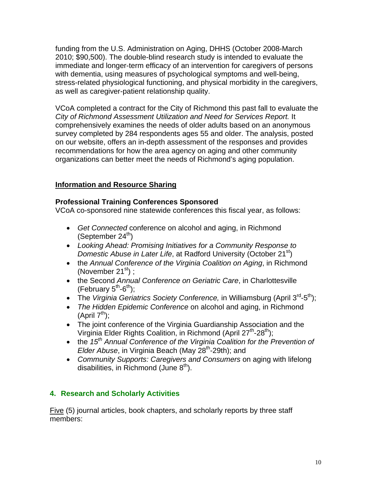funding from the U.S. Administration on Aging, DHHS (October 2008-March 2010; \$90,500). The double-blind research study is intended to evaluate the immediate and longer-term efficacy of an intervention for caregivers of persons with dementia, using measures of psychological symptoms and well-being, stress-related physiological functioning, and physical morbidity in the caregivers, as well as caregiver-patient relationship quality.

 VCoA completed a contract for the City of Richmond this past fall to evaluate the *City of Richmond Assessment Utilization and Need for Services Report.* It comprehensively examines the needs of older adults based on an anonymous survey completed by 284 respondents ages 55 and older. The analysis, posted on our website, offers an in-depth assessment of the responses and provides recommendations for how the area agency on aging and other community organizations can better meet the needs of Richmond's aging population.

# **Information and Resource Sharing**

#### **Professional Training Conferences Sponsored**

VCoA co-sponsored nine statewide conferences this fiscal year, as follows:

- *Get Connected* conference on alcohol and aging, in Richmond (September  $24<sup>th</sup>$ )
- *Looking Ahead: Promising Initiatives for a Community Response to Domestic Abuse in Later Life*, at Radford University (October 21<sup>st</sup>)
- the *Annual Conference of the Virginia Coalition on Aging*, in Richmond (November 21 $\mathrm{^{st}}$ ) ;
- the Second *Annual Conference on Geriatric Care*, in Charlottesville (February  $5^{th}$ -6<sup>th</sup>);
- The *Virginia Geriatrics Society Conference*, in Williamsburg (April 3<sup>rd</sup>-5<sup>th</sup>);
- *The Hidden Epidemic Conference* on alcohol and aging, in Richmond (April  $7^{th}$ );
- The joint conference of the Virginia Guardianship Association and the Virginia Elder Rights Coalition, in Richmond (April  $27<sup>th</sup>$ -28<sup>th</sup>);
- the 15<sup>th</sup> Annual Conference of the Virginia Coalition for the Prevention of *Elder Abuse*, in Virginia Beach (May 28<sup>th</sup>-29th); and
- *Community Supports: Caregivers and Consumers* on aging with lifelong disabilities, in Richmond (June  $8<sup>th</sup>$ ).

### **4. Research and Scholarly Activities**

Five (5) journal articles, book chapters, and scholarly reports by three staff members: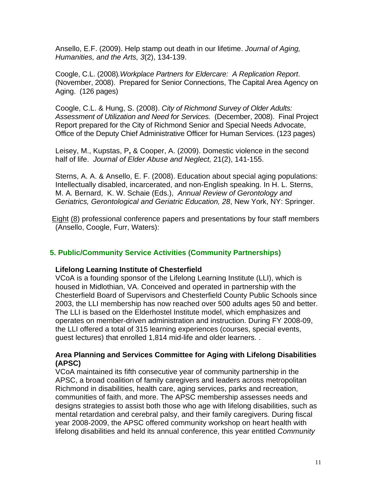Ansello, E.F. (2009). Help stamp out death in our lifetime. *Journal of Aging, Humanities, and the Arts, 3*(2), 134-139.

Coogle, C.L. (2008)*.Workplace Partners for Eldercare: A Replication Report*. (November, 2008). Prepared for Senior Connections, The Capital Area Agency on Aging. (126 pages)

 Coogle, C.L. & Hung, S. (2008). *City of Richmond Survey of Older Adults: Assessment of Utilization and Need for Services.* (December, 2008). Final Project Report prepared for the City of Richmond Senior and Special Needs Advocate, Office of the Deputy Chief Administrative Officer for Human Services. (123 pages)

 Leisey, M., Kupstas, P**,** & Cooper, A. (2009). Domestic violence in the second half of life.*Journal of Elder Abuse and Neglect,* 21(2), 141-155.

Sterns, A. A. & Ansello, E. F. (2008). Education about special aging populations: Intellectually disabled, incarcerated, and non-English speaking. In H. L. Sterns, M. A. Bernard, K. W. Schaie (Eds.), *Annual Review of Gerontology and Geriatrics, Gerontological and Geriatric Education, 28*, New York, NY: Springer.

 Eight (8) professional conference papers and presentations by four staff members (Ansello, Coogle, Furr, Waters):

### **5. Public/Community Service Activities (Community Partnerships)**

#### **Lifelong Learning Institute of Chesterfield**

VCoA is a founding sponsor of the Lifelong Learning Institute (LLI), which is housed in Midlothian, VA. Conceived and operated in partnership with the Chesterfield Board of Supervisors and Chesterfield County Public Schools since 2003, the LLI membership has now reached over 500 adults ages 50 and better. The LLI is based on the Elderhostel Institute model, which emphasizes and operates on member-driven administration and instruction. During FY 2008-09, the LLI offered a total of 315 learning experiences (courses, special events, guest lectures) that enrolled 1,814 mid-life and older learners. .

#### **Area Planning and Services Committee for Aging with Lifelong Disabilities (APSC)**

VCoA maintained its fifth consecutive year of community partnership in the APSC, a broad coalition of family caregivers and leaders across metropolitan Richmond in disabilities, health care, aging services, parks and recreation, communities of faith, and more. The APSC membership assesses needs and designs strategies to assist both those who age with lifelong disabilities, such as mental retardation and cerebral palsy, and their family caregivers. During fiscal year 2008-2009, the APSC offered community workshop on heart health with lifelong disabilities and held its annual conference, this year entitled *Community*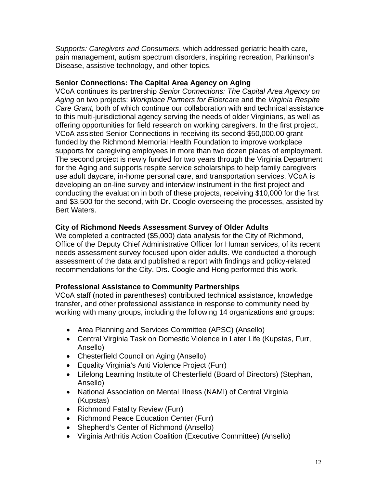*Supports: Caregivers and Consumers*, which addressed geriatric health care, pain management, autism spectrum disorders, inspiring recreation, Parkinson's Disease, assistive technology, and other topics.

#### **Senior Connections: The Capital Area Agency on Aging**

VCoA continues its partnership *Senior Connections: The Capital Area Agency on Aging* on two projects: *Workplace Partners for Eldercare* and the *Virginia Respite Care Grant,* both of which continue our collaboration with and technical assistance to this multi-jurisdictional agency serving the needs of older Virginians, as well as offering opportunities for field research on working caregivers. In the first project, VCoA assisted Senior Connections in receiving its second \$50,000.00 grant funded by the Richmond Memorial Health Foundation to improve workplace supports for caregiving employees in more than two dozen places of employment. The second project is newly funded for two years through the Virginia Department for the Aging and supports respite service scholarships to help family caregivers use adult daycare, in-home personal care, and transportation services. VCoA is developing an on-line survey and interview instrument in the first project and conducting the evaluation in both of these projects, receiving \$10,000 for the first and \$3,500 for the second, with Dr. Coogle overseeing the processes, assisted by Bert Waters.

### **City of Richmond Needs Assessment Survey of Older Adults**

We completed a contracted (\$5,000) data analysis for the City of Richmond, Office of the Deputy Chief Administrative Officer for Human services, of its recent needs assessment survey focused upon older adults. We conducted a thorough assessment of the data and published a report with findings and policy-related recommendations for the City. Drs. Coogle and Hong performed this work.

#### **Professional Assistance to Community Partnerships**

VCoA staff (noted in parentheses) contributed technical assistance, knowledge transfer, and other professional assistance in response to community need by working with many groups, including the following 14 organizations and groups:

- Area Planning and Services Committee (APSC) (Ansello)
- Central Virginia Task on Domestic Violence in Later Life (Kupstas, Furr, Ansello)
- Chesterfield Council on Aging (Ansello)
- Equality Virginia's Anti Violence Project (Furr)
- Lifelong Learning Institute of Chesterfield (Board of Directors) (Stephan, Ansello)
- National Association on Mental Illness (NAMI) of Central Virginia (Kupstas)
- Richmond Fatality Review (Furr)
- Richmond Peace Education Center (Furr)
- Shepherd's Center of Richmond (Ansello)
- Virginia Arthritis Action Coalition (Executive Committee) (Ansello)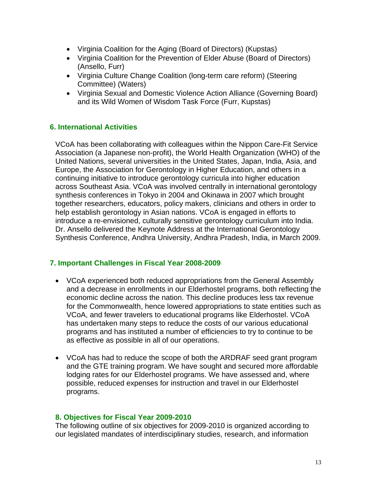- Virginia Coalition for the Aging (Board of Directors) (Kupstas)
- Virginia Coalition for the Prevention of Elder Abuse (Board of Directors) (Ansello, Furr)
- Virginia Culture Change Coalition (long-term care reform) (Steering Committee) (Waters)
- Virginia Sexual and Domestic Violence Action Alliance (Governing Board) and its Wild Women of Wisdom Task Force (Furr, Kupstas)

# **6. International Activities**

VCoA has been collaborating with colleagues within the Nippon Care-Fit Service Association (a Japanese non-profit), the World Health Organization (WHO) of the United Nations, several universities in the United States, Japan, India, Asia, and Europe, the Association for Gerontology in Higher Education, and others in a continuing initiative to introduce gerontology curricula into higher education across Southeast Asia. VCoA was involved centrally in international gerontology synthesis conferences in Tokyo in 2004 and Okinawa in 2007 which brought together researchers, educators, policy makers, clinicians and others in order to help establish gerontology in Asian nations. VCoA is engaged in efforts to introduce a re-envisioned, culturally sensitive gerontology curriculum into India. Dr. Ansello delivered the Keynote Address at the International Gerontology Synthesis Conference, Andhra University, Andhra Pradesh, India, in March 2009.

### **7. Important Challenges in Fiscal Year 2008-2009**

- VCoA experienced both reduced appropriations from the General Assembly and a decrease in enrollments in our Elderhostel programs, both reflecting the economic decline across the nation. This decline produces less tax revenue for the Commonwealth, hence lowered appropriations to state entities such as VCoA, and fewer travelers to educational programs like Elderhostel. VCoA has undertaken many steps to reduce the costs of our various educational programs and has instituted a number of efficiencies to try to continue to be as effective as possible in all of our operations.
- VCoA has had to reduce the scope of both the ARDRAF seed grant program and the GTE training program. We have sought and secured more affordable lodging rates for our Elderhostel programs. We have assessed and, where possible, reduced expenses for instruction and travel in our Elderhostel programs.

#### **8. Objectives for Fiscal Year 2009-2010**

The following outline of six objectives for 2009-2010 is organized according to our legislated mandates of interdisciplinary studies, research, and information